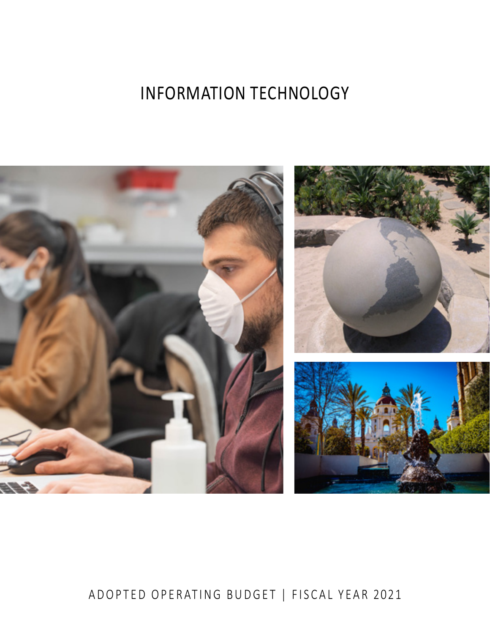# INFORMATION TECHNOLOGY



# ADOPTED OPERATING BUDGET | FISCAL YEAR 2021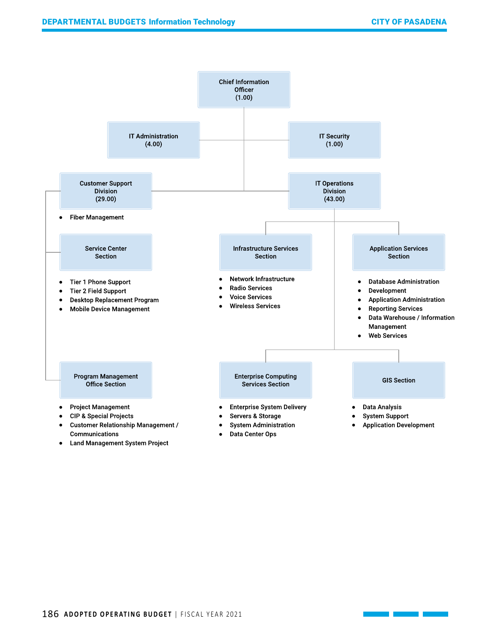

Land Management System Project ●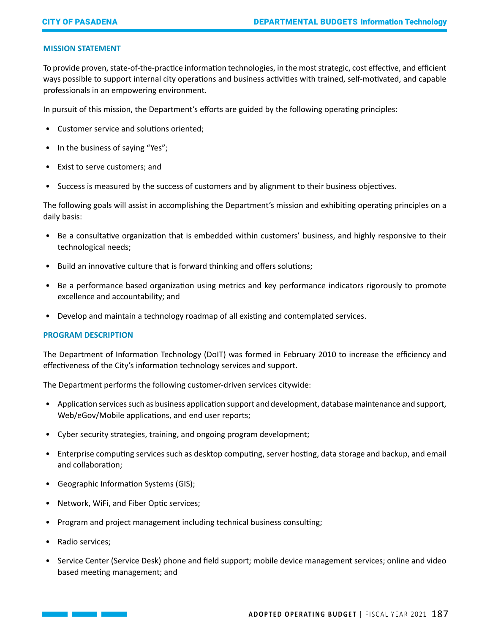## **MISSION STATEMENT**

To provide proven, state-of-the-practice information technologies, in the most strategic, cost effective, and efficient ways possible to support internal city operations and business activities with trained, self-motivated, and capable professionals in an empowering environment.

In pursuit of this mission, the Department's efforts are guided by the following operating principles:

- Customer service and solutions oriented;
- In the business of saying "Yes";
- Exist to serve customers; and
- Success is measured by the success of customers and by alignment to their business objectives.

The following goals will assist in accomplishing the Department's mission and exhibiting operating principles on a daily basis:

- Be a consultative organization that is embedded within customers' business, and highly responsive to their technological needs;
- Build an innovative culture that is forward thinking and offers solutions;
- Be a performance based organization using metrics and key performance indicators rigorously to promote excellence and accountability; and
- Develop and maintain a technology roadmap of all existing and contemplated services.

## **PROGRAM DESCRIPTION**

The Department of Information Technology (DoIT) was formed in February 2010 to increase the efficiency and effectiveness of the City's information technology services and support.

The Department performs the following customer-driven services citywide:

- Application services such as business application support and development, database maintenance and support, Web/eGov/Mobile applications, and end user reports;
- Cyber security strategies, training, and ongoing program development;
- Enterprise computing services such as desktop computing, server hosting, data storage and backup, and email and collaboration;
- Geographic Information Systems (GIS);
- Network, WiFi, and Fiber Optic services;
- Program and project management including technical business consulting;
- Radio services;
- Service Center (Service Desk) phone and field support; mobile device management services; online and video based meeting management; and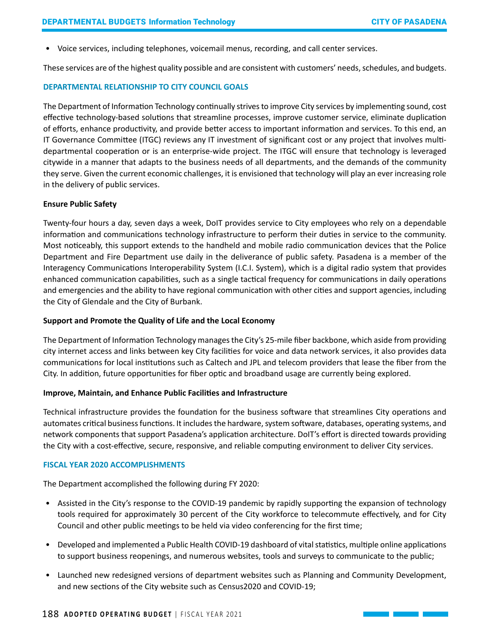• Voice services, including telephones, voicemail menus, recording, and call center services.

These services are of the highest quality possible and are consistent with customers' needs, schedules, and budgets.

#### **DEPARTMENTAL RELATIONSHIP TO CITY COUNCIL GOALS**

The Department of Information Technology continually strives to improve City services by implementing sound, cost effective technology-based solutions that streamline processes, improve customer service, eliminate duplication of efforts, enhance productivity, and provide better access to important information and services. To this end, an IT Governance Committee (ITGC) reviews any IT investment of significant cost or any project that involves multidepartmental cooperation or is an enterprise-wide project. The ITGC will ensure that technology is leveraged citywide in a manner that adapts to the business needs of all departments, and the demands of the community they serve. Given the current economic challenges, it is envisioned that technology will play an ever increasing role in the delivery of public services.

#### **Ensure Public Safety**

Twenty-four hours a day, seven days a week, DoIT provides service to City employees who rely on a dependable information and communications technology infrastructure to perform their duties in service to the community. Most noticeably, this support extends to the handheld and mobile radio communication devices that the Police Department and Fire Department use daily in the deliverance of public safety. Pasadena is a member of the Interagency Communications Interoperability System (I.C.I. System), which is a digital radio system that provides enhanced communication capabilities, such as a single tactical frequency for communications in daily operations and emergencies and the ability to have regional communication with other cities and support agencies, including the City of Glendale and the City of Burbank.

#### **Support and Promote the Quality of Life and the Local Economy**

The Department of Information Technology manages the City's 25-mile fiber backbone, which aside from providing city internet access and links between key City facilities for voice and data network services, it also provides data communications for local institutions such as Caltech and JPL and telecom providers that lease the fiber from the City. In addition, future opportunities for fiber optic and broadband usage are currently being explored.

#### **Improve, Maintain, and Enhance Public Facilities and Infrastructure**

Technical infrastructure provides the foundation for the business software that streamlines City operations and automates critical business functions. It includes the hardware, system software, databases, operating systems, and network components that support Pasadena's application architecture. DoIT's effort is directed towards providing the City with a cost-effective, secure, responsive, and reliable computing environment to deliver City services.

#### **FISCAL YEAR 2020 ACCOMPLISHMENTS**

The Department accomplished the following during FY 2020:

- Assisted in the City's response to the COVID-19 pandemic by rapidly supporting the expansion of technology tools required for approximately 30 percent of the City workforce to telecommute effectively, and for City Council and other public meetings to be held via video conferencing for the first time;
- Developed and implemented a Public Health COVID-19 dashboard of vital statistics, multiple online applications to support business reopenings, and numerous websites, tools and surveys to communicate to the public;
- Launched new redesigned versions of department websites such as Planning and Community Development, and new sections of the City website such as Census2020 and COVID-19;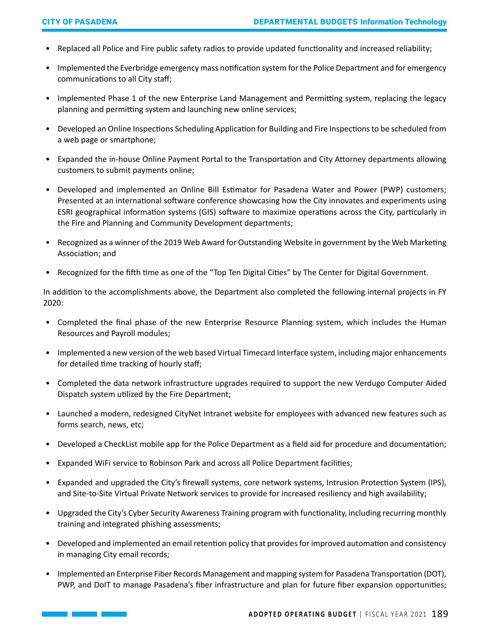- Replaced all Police and Fire public safety radios to provide updated functionality and increased reliability;
- Implemented the Everbridge emergency mass notification system for the Police Department and for emergency communications to all City staff;
- Implemented Phase 1 of the new Enterprise Land Management and Permitting system, replacing the legacy planning and permitting system and launching new online services;
- Developed an Online Inspections Scheduling Application for Building and Fire Inspections to be scheduled from a web page or smartphone;
- Expanded the in-house Online Payment Portal to the Transportation and City Attorney departments allowing customers to submit payments online;
- Developed and implemented an Online Bill Estimator for Pasadena Water and Power (PWP) customers; Presented at an international software conference showcasing how the City innovates and experiments using ESRI geographical information systems (GIS) software to maximize operations across the City, particularly in the Fire and Planning and Community Development departments;
- Recognized as a winner of the 2019 Web Award for Outstanding Website in government by the Web Marketing Association; and
- Recognized for the fifth time as one of the "Top Ten Digital Cities" by The Center for Digital Government.

In addition to the accomplishments above, the Department also completed the following internal projects in FY 2020:

- Completed the final phase of the new Enterprise Resource Planning system, which includes the Human Resources and Payroll modules;
- Implemented a new version of the web based Virtual Timecard Interface system, including major enhancements for detailed time tracking of hourly staff;
- Completed the data network infrastructure upgrades required to support the new Verdugo Computer Aided Dispatch system utilized by the Fire Department;
- Launched a modern, redesigned CityNet Intranet website for employees with advanced new features such as forms search, news, etc;
- Developed a CheckList mobile app for the Police Department as a field aid for procedure and documentation;
- Expanded WiFi service to Robinson Park and across all Police Department facilities;
- Expanded and upgraded the City's firewall systems, core network systems, Intrusion Protection System (IPS), and Site-to-Site Virtual Private Network services to provide for increased resiliency and high availability;
- Upgraded the City's Cyber Security Awareness Training program with functionality, including recurring monthly training and integrated phishing assessments;
- Developed and implemented an email retention policy that provides for improved automation and consistency in managing City email records;
- Implemented an Enterprise Fiber Records Management and mapping system for Pasadena Transportation (DOT), PWP, and DoIT to manage Pasadena's fiber infrastructure and plan for future fiber expansion opportunities;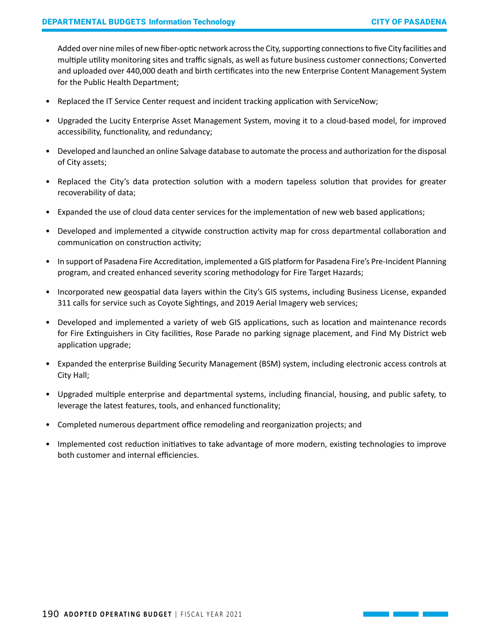Added over nine miles of new fiber-optic network across the City, supporting connections to five City facilities and multiple utility monitoring sites and traffic signals, as well as future business customer connections; Converted and uploaded over 440,000 death and birth certificates into the new Enterprise Content Management System for the Public Health Department;

- Replaced the IT Service Center request and incident tracking application with ServiceNow;
- Upgraded the Lucity Enterprise Asset Management System, moving it to a cloud-based model, for improved accessibility, functionality, and redundancy;
- Developed and launched an online Salvage database to automate the process and authorization for the disposal of City assets;
- Replaced the City's data protection solution with a modern tapeless solution that provides for greater recoverability of data;
- Expanded the use of cloud data center services for the implementation of new web based applications;
- Developed and implemented a citywide construction activity map for cross departmental collaboration and communication on construction activity;
- In support of Pasadena Fire Accreditation, implemented a GIS platform for Pasadena Fire's Pre-Incident Planning program, and created enhanced severity scoring methodology for Fire Target Hazards;
- Incorporated new geospatial data layers within the City's GIS systems, including Business License, expanded 311 calls for service such as Coyote Sightings, and 2019 Aerial Imagery web services;
- Developed and implemented a variety of web GIS applications, such as location and maintenance records for Fire Extinguishers in City facilities, Rose Parade no parking signage placement, and Find My District web application upgrade;
- Expanded the enterprise Building Security Management (BSM) system, including electronic access controls at City Hall;
- Upgraded multiple enterprise and departmental systems, including financial, housing, and public safety, to leverage the latest features, tools, and enhanced functionality;
- Completed numerous department office remodeling and reorganization projects; and
- Implemented cost reduction initiatives to take advantage of more modern, existing technologies to improve both customer and internal efficiencies.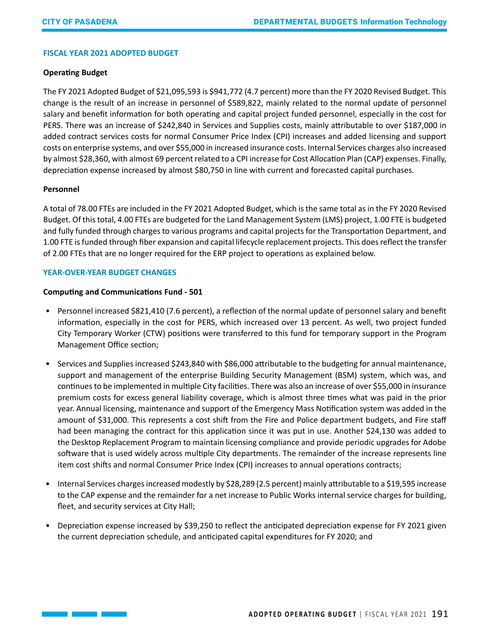# **FISCAL YEAR 2021 ADOPTED BUDGET**

# **Operating Budget**

The FY 2021 Adopted Budget of \$21,095,593 is \$941,772 (4.7 percent) more than the FY 2020 Revised Budget. This change is the result of an increase in personnel of \$589,822, mainly related to the normal update of personnel salary and benefit information for both operating and capital project funded personnel, especially in the cost for PERS. There was an increase of \$242,840 in Services and Supplies costs, mainly attributable to over \$187,000 in added contract services costs for normal Consumer Price Index (CPI) increases and added licensing and support costs on enterprise systems, and over \$55,000 in increased insurance costs. Internal Services charges also increased by almost \$28,360, with almost 69 percent related to a CPI increase for Cost Allocation Plan (CAP) expenses. Finally, depreciation expense increased by almost \$80,750 in line with current and forecasted capital purchases.

# **Personnel**

A total of 78.00 FTEs are included in the FY 2021 Adopted Budget, which is the same total as in the FY 2020 Revised Budget. Of this total, 4.00 FTEs are budgeted for the Land Management System (LMS) project, 1.00 FTE is budgeted and fully funded through charges to various programs and capital projects for the Transportation Department, and 1.00 FTE is funded through fiber expansion and capital lifecycle replacement projects. This does reflect the transfer of 2.00 FTEs that are no longer required for the ERP project to operations as explained below.

# **YEAR-OVER-YEAR BUDGET CHANGES**

 $\mathcal{L}(\mathcal{L}^{\mathcal{L}})$  and  $\mathcal{L}^{\mathcal{L}}$ 

# **Computing and Communications Fund - 501**

- Personnel increased \$821,410 (7.6 percent), a reflection of the normal update of personnel salary and benefit information, especially in the cost for PERS, which increased over 13 percent. As well, two project funded City Temporary Worker (CTW) positions were transferred to this fund for temporary support in the Program Management Office section;
- Services and Supplies increased \$243,840 with \$86,000 attributable to the budgeting for annual maintenance, support and management of the enterprise Building Security Management (BSM) system, which was, and continues to be implemented in multiple City facilities. There was also an increase of over \$55,000 in insurance premium costs for excess general liability coverage, which is almost three times what was paid in the prior year. Annual licensing, maintenance and support of the Emergency Mass Notification system was added in the amount of \$31,000. This represents a cost shift from the Fire and Police department budgets, and Fire staff had been managing the contract for this application since it was put in use. Another \$24,130 was added to the Desktop Replacement Program to maintain licensing compliance and provide periodic upgrades for Adobe software that is used widely across multiple City departments. The remainder of the increase represents line item cost shifts and normal Consumer Price Index (CPI) increases to annual operations contracts;
- Internal Services charges increased modestly by \$28,289 (2.5 percent) mainly attributable to a \$19,595 increase to the CAP expense and the remainder for a net increase to Public Works internal service charges for building, fleet, and security services at City Hall;
- Depreciation expense increased by \$39,250 to reflect the anticipated depreciation expense for FY 2021 given the current depreciation schedule, and anticipated capital expenditures for FY 2020; and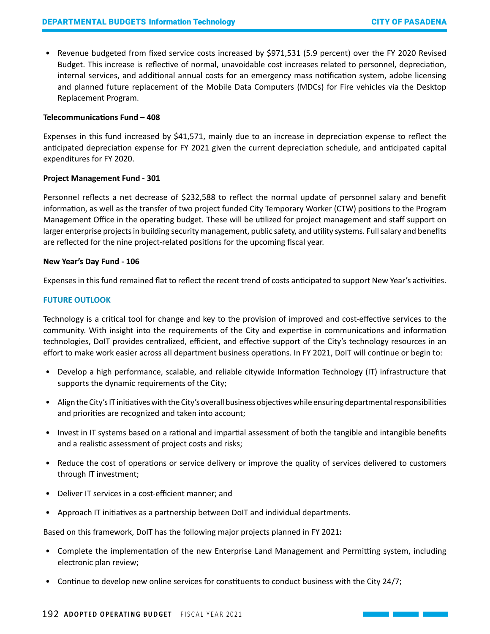• Revenue budgeted from fixed service costs increased by \$971,531 (5.9 percent) over the FY 2020 Revised Budget. This increase is reflective of normal, unavoidable cost increases related to personnel, depreciation, internal services, and additional annual costs for an emergency mass notification system, adobe licensing and planned future replacement of the Mobile Data Computers (MDCs) for Fire vehicles via the Desktop Replacement Program.

#### **Telecommunications Fund – 408**

Expenses in this fund increased by \$41,571, mainly due to an increase in depreciation expense to reflect the anticipated depreciation expense for FY 2021 given the current depreciation schedule, and anticipated capital expenditures for FY 2020.

#### **Project Management Fund - 301**

Personnel reflects a net decrease of \$232,588 to reflect the normal update of personnel salary and benefit information, as well as the transfer of two project funded City Temporary Worker (CTW) positions to the Program Management Office in the operating budget. These will be utilized for project management and staff support on larger enterprise projects in building security management, public safety, and utility systems. Full salary and benefits are reflected for the nine project-related positions for the upcoming fiscal year.

#### **New Year's Day Fund - 106**

Expenses in this fund remained flat to reflect the recent trend of costs anticipated to support New Year's activities.

## **FUTURE OUTLOOK**

Technology is a critical tool for change and key to the provision of improved and cost-effective services to the community. With insight into the requirements of the City and expertise in communications and information technologies, DoIT provides centralized, efficient, and effective support of the City's technology resources in an effort to make work easier across all department business operations. In FY 2021, DoIT will continue or begin to:

- Develop a high performance, scalable, and reliable citywide Information Technology (IT) infrastructure that supports the dynamic requirements of the City;
- Align the City's IT initiatives with the City's overall business objectives while ensuring departmental responsibilities and priorities are recognized and taken into account;
- Invest in IT systems based on a rational and impartial assessment of both the tangible and intangible benefits and a realistic assessment of project costs and risks;
- Reduce the cost of operations or service delivery or improve the quality of services delivered to customers through IT investment;
- Deliver IT services in a cost-efficient manner; and
- Approach IT initiatives as a partnership between DoIT and individual departments.

Based on this framework, DoIT has the following major projects planned in FY 2021**:** 

- Complete the implementation of the new Enterprise Land Management and Permitting system, including electronic plan review;
- Continue to develop new online services for constituents to conduct business with the City 24/7;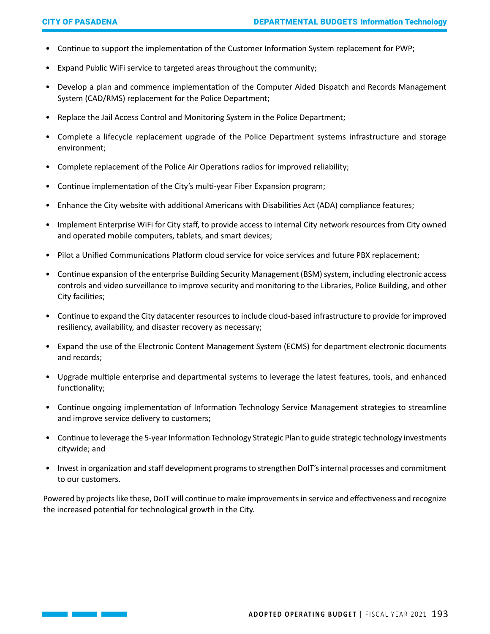- Continue to support the implementation of the Customer Information System replacement for PWP;
- Expand Public WiFi service to targeted areas throughout the community;
- Develop a plan and commence implementation of the Computer Aided Dispatch and Records Management System (CAD/RMS) replacement for the Police Department;
- Replace the Jail Access Control and Monitoring System in the Police Department;
- Complete a lifecycle replacement upgrade of the Police Department systems infrastructure and storage environment;
- Complete replacement of the Police Air Operations radios for improved reliability;
- Continue implementation of the City's multi-year Fiber Expansion program;
- Enhance the City website with additional Americans with Disabilities Act (ADA) compliance features;
- Implement Enterprise WiFi for City staff, to provide access to internal City network resources from City owned and operated mobile computers, tablets, and smart devices;
- Pilot a Unified Communications Platform cloud service for voice services and future PBX replacement;
- Continue expansion of the enterprise Building Security Management (BSM) system, including electronic access controls and video surveillance to improve security and monitoring to the Libraries, Police Building, and other City facilities;
- Continue to expand the City datacenter resources to include cloud-based infrastructure to provide for improved resiliency, availability, and disaster recovery as necessary;
- Expand the use of the Electronic Content Management System (ECMS) for department electronic documents and records;
- Upgrade multiple enterprise and departmental systems to leverage the latest features, tools, and enhanced functionality;
- Continue ongoing implementation of Information Technology Service Management strategies to streamline and improve service delivery to customers;
- Continue to leverage the 5-year Information Technology Strategic Plan to guide strategic technology investments citywide; and
- Invest in organization and staff development programs to strengthen DoIT's internal processes and commitment to our customers.

Powered by projects like these, DoIT will continue to make improvements in service and effectiveness and recognize the increased potential for technological growth in the City.